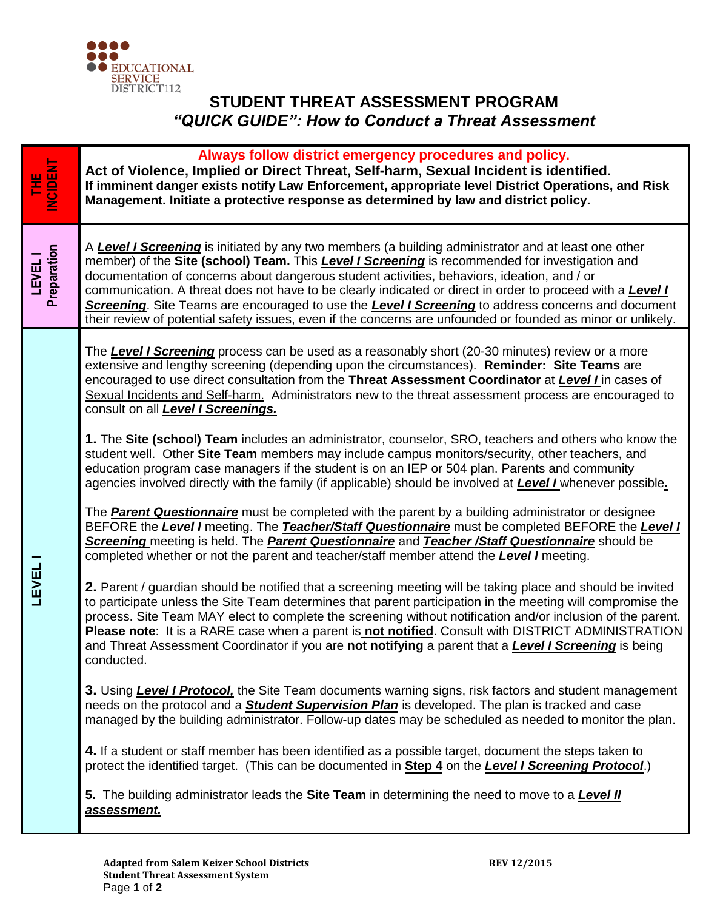

## **STUDENT THREAT ASSESSMENT PROGRAM** *"QUICK GUIDE": How to Conduct a Threat Assessment*

| Always follow district emergency procedures and policy.<br>THE<br>NCIDENT<br>Act of Violence, Implied or Direct Threat, Self-harm, Sexual Incident is identified.<br>If imminent danger exists notify Law Enforcement, appropriate level District Operations, and Risk<br>Management. Initiate a protective response as determined by law and district policy.                                                                                                                                                                                                                                                                                                                                                                                                                                                                                                                                                                                                                                                                                                                                                                                                                                                                                                                                                                                                                                                                                                                                                                                                                                                                                                                                                                                                                                                                                                                                                                                                                                                                                                                                                                                                                                                                                                                                                                                                                                                                                                                                                                                                                           |  |
|------------------------------------------------------------------------------------------------------------------------------------------------------------------------------------------------------------------------------------------------------------------------------------------------------------------------------------------------------------------------------------------------------------------------------------------------------------------------------------------------------------------------------------------------------------------------------------------------------------------------------------------------------------------------------------------------------------------------------------------------------------------------------------------------------------------------------------------------------------------------------------------------------------------------------------------------------------------------------------------------------------------------------------------------------------------------------------------------------------------------------------------------------------------------------------------------------------------------------------------------------------------------------------------------------------------------------------------------------------------------------------------------------------------------------------------------------------------------------------------------------------------------------------------------------------------------------------------------------------------------------------------------------------------------------------------------------------------------------------------------------------------------------------------------------------------------------------------------------------------------------------------------------------------------------------------------------------------------------------------------------------------------------------------------------------------------------------------------------------------------------------------------------------------------------------------------------------------------------------------------------------------------------------------------------------------------------------------------------------------------------------------------------------------------------------------------------------------------------------------------------------------------------------------------------------------------------------------|--|
| A Level I Screening is initiated by any two members (a building administrator and at least one other<br>LEVEL  <br>Preparation<br>member) of the Site (school) Team. This <b>Level I Screening</b> is recommended for investigation and<br>documentation of concerns about dangerous student activities, behaviors, ideation, and / or<br>communication. A threat does not have to be clearly indicated or direct in order to proceed with a <b>Level !</b><br>Screening. Site Teams are encouraged to use the Level I Screening to address concerns and document<br>their review of potential safety issues, even if the concerns are unfounded or founded as minor or unlikely.                                                                                                                                                                                                                                                                                                                                                                                                                                                                                                                                                                                                                                                                                                                                                                                                                                                                                                                                                                                                                                                                                                                                                                                                                                                                                                                                                                                                                                                                                                                                                                                                                                                                                                                                                                                                                                                                                                        |  |
| The Level I Screening process can be used as a reasonably short (20-30 minutes) review or a more<br>extensive and lengthy screening (depending upon the circumstances). Reminder: Site Teams are<br>encouraged to use direct consultation from the Threat Assessment Coordinator at Level I in cases of<br>Sexual Incidents and Self-harm. Administrators new to the threat assessment process are encouraged to<br>consult on all <b>Level I Screenings.</b><br>1. The Site (school) Team includes an administrator, counselor, SRO, teachers and others who know the<br>student well. Other Site Team members may include campus monitors/security, other teachers, and<br>education program case managers if the student is on an IEP or 504 plan. Parents and community<br>agencies involved directly with the family (if applicable) should be involved at <b>Level I</b> whenever possible.<br>The <b>Parent Questionnaire</b> must be completed with the parent by a building administrator or designee<br>BEFORE the Level I meeting. The Teacher/Staff Questionnaire must be completed BEFORE the Level I<br>Screening meeting is held. The <b>Parent Questionnaire</b> and Teacher /Staff Questionnaire should be<br>completed whether or not the parent and teacher/staff member attend the Level I meeting.<br>LEVEL<br>2. Parent / guardian should be notified that a screening meeting will be taking place and should be invited<br>to participate unless the Site Team determines that parent participation in the meeting will compromise the<br>process. Site Team MAY elect to complete the screening without notification and/or inclusion of the parent.<br>Please note: It is a RARE case when a parent is not notified. Consult with DISTRICT ADMINISTRATION<br>and Threat Assessment Coordinator if you are not notifying a parent that a <b>Level I Screening</b> is being<br>conducted.<br>3. Using Level I Protocol, the Site Team documents warning signs, risk factors and student management<br>needs on the protocol and a <b>Student Supervision Plan</b> is developed. The plan is tracked and case<br>managed by the building administrator. Follow-up dates may be scheduled as needed to monitor the plan.<br>4. If a student or staff member has been identified as a possible target, document the steps taken to<br>protect the identified target. (This can be documented in Step 4 on the Level I Screening Protocol.)<br>5. The building administrator leads the Site Team in determining the need to move to a <b>Level II</b><br>assessment. |  |